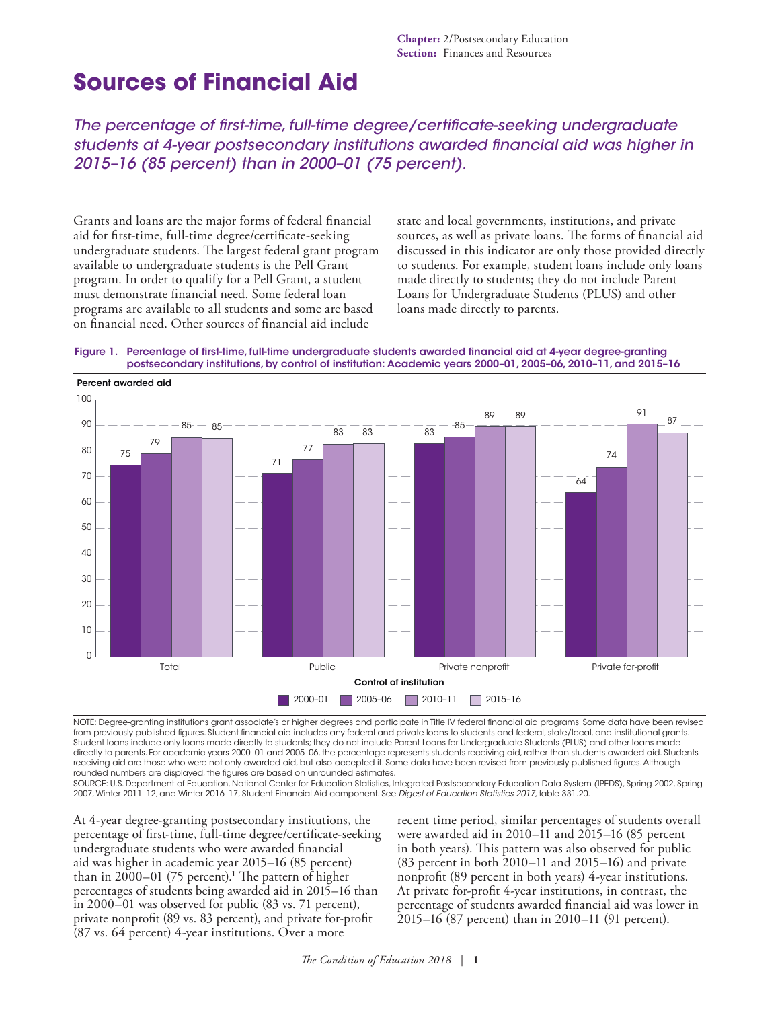# **Sources of Financial Aid**

*The percentage of first-time, full-time degree/certificate-seeking undergraduate students at 4-year postsecondary institutions awarded financial aid was higher in 2015–16 (85 percent) than in 2000–01 (75 percent).*

Grants and loans are the major forms of federal financial aid for first-time, full-time degree/certificate-seeking undergraduate students. The largest federal grant program available to undergraduate students is the Pell Grant program. In order to qualify for a Pell Grant, a student must demonstrate financial need. Some federal loan programs are available to all students and some are based on financial need. Other sources of financial aid include

state and local governments, institutions, and private sources, as well as private loans. The forms of financial aid discussed in this indicator are only those provided directly to students. For example, student loans include only loans made directly to students; they do not include Parent Loans for Undergraduate Students (PLUS) and other loans made directly to parents.





NOTE: Degree-granting institutions grant associate's or higher degrees and participate in Title IV federal financial aid programs. Some data have been revised from previously published figures. Student financial aid includes any federal and private loans to students and federal, state/local, and institutional grants. Student loans include only loans made directly to students; they do not include Parent Loans for Undergraduate Students (PLUS) and other loans made directly to parents. For academic years 2000–01 and 2005–06, the percentage represents students receiving aid, rather than students awarded aid. Students receiving aid are those who were not only awarded aid, but also accepted it. Some data have been revised from previously published figures. Although rounded numbers are displayed, the figures are based on unrounded estimates.

SOURCE: U.S. Department of Education, National Center for Education Statistics, Integrated Postsecondary Education Data System (IPEDS), Spring 2002, Spring 2007, Winter 2011–12, and Winter 2016–17, Student Financial Aid component. See *Digest of Education Statistics 2017*, table 331.20.

At 4-year degree-granting postsecondary institutions, the percentage of first-time, full-time degree/certificate-seeking undergraduate students who were awarded financial aid was higher in academic year 2015–16 (85 percent) than in  $2000-01$  (75 percent).<sup>1</sup> The pattern of higher percentages of students being awarded aid in 2015–16 than in 2000–01 was observed for public (83 vs. 71 percent), private nonprofit (89 vs. 83 percent), and private for-profit (87 vs. 64 percent) 4-year institutions. Over a more

recent time period, similar percentages of students overall were awarded aid in 2010–11 and 2015–16 (85 percent in both years). This pattern was also observed for public (83 percent in both 2010–11 and 2015–16) and private nonprofit (89 percent in both years) 4-year institutions. At private for-profit 4-year institutions, in contrast, the percentage of students awarded financial aid was lower in 2015–16 (87 percent) than in 2010–11 (91 percent).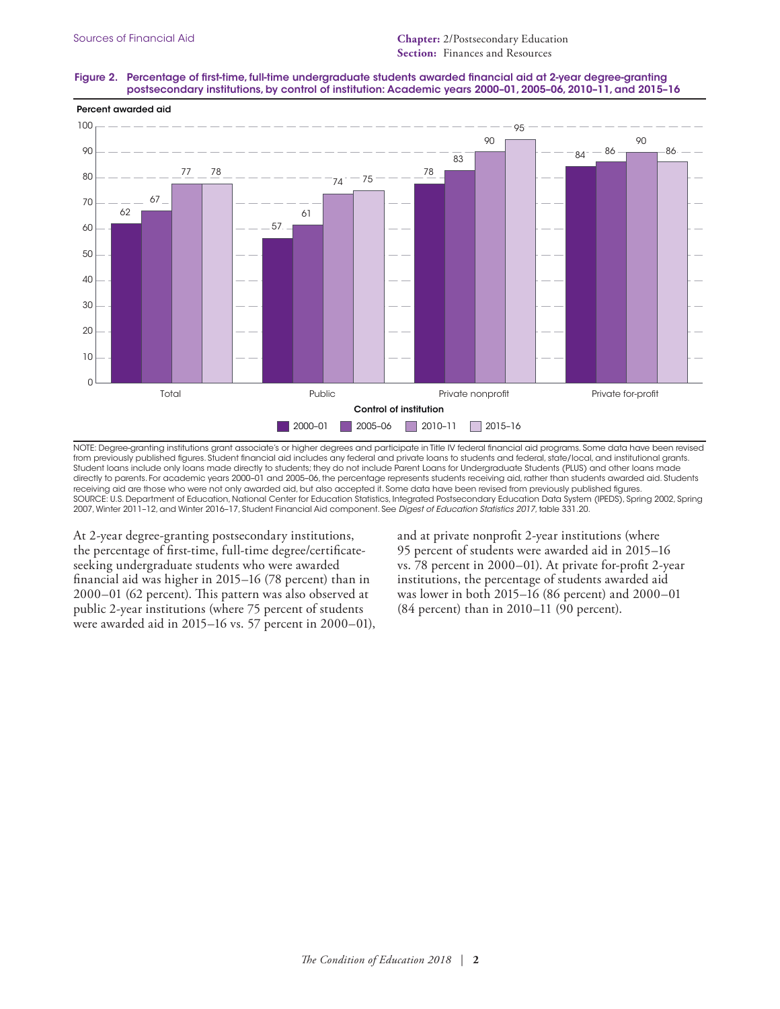## Figure 2. Percentage of first-time, full-time undergraduate students awarded financial aid at 2-year degree-granting postsecondary institutions, by control of institution: Academic years 2000–01, 2005–06, 2010–11, and 2015–16



NOTE: Degree-granting institutions grant associate's or higher degrees and participate in Title IV federal financial aid programs. Some data have been revised from previously published figures. Student financial aid includes any federal and private loans to students and federal, state/local, and institutional grants. Student loans include only loans made directly to students; they do not include Parent Loans for Undergraduate Students (PLUS) and other loans made directly to parents. For academic years 2000–01 and 2005–06, the percentage represents students receiving aid, rather than students awarded aid. Students receiving aid are those who were not only awarded aid, but also accepted it. Some data have been revised from previously published figures. SOURCE: U.S. Department of Education, National Center for Education Statistics, Integrated Postsecondary Education Data System (IPEDS), Spring 2002, Spring 2007, Winter 2011–12, and Winter 2016–17, Student Financial Aid component. See *Digest of Education Statistics 2017*, table 331.20.

At 2-year degree-granting postsecondary institutions, the percentage of first-time, full-time degree/certificateseeking undergraduate students who were awarded financial aid was higher in 2015–16 (78 percent) than in 2000–01 (62 percent). This pattern was also observed at public 2-year institutions (where 75 percent of students were awarded aid in 2015–16 vs. 57 percent in 2000–01), and at private nonprofit 2-year institutions (where 95 percent of students were awarded aid in 2015–16 vs. 78 percent in 2000–01). At private for-profit 2-year institutions, the percentage of students awarded aid was lower in both 2015–16 (86 percent) and 2000–01 (84 percent) than in 2010–11 (90 percent).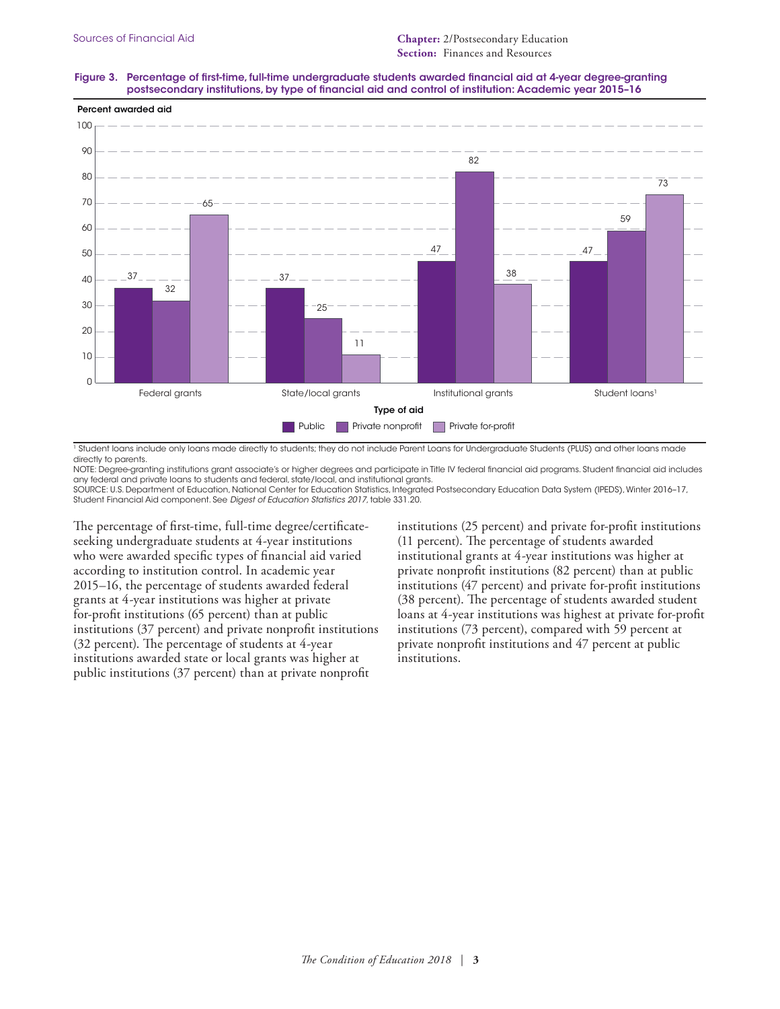### Figure 3. Percentage of first-time, full-time undergraduate students awarded financial aid at 4-year degree-granting postsecondary institutions, by type of financial aid and control of institution: Academic year 2015–16



1 Student loans include only loans made directly to students; they do not include Parent Loans for Undergraduate Students (PLUS) and other loans made directly to parents.

NOTE: Degree-granting institutions grant associate's or higher degrees and participate in Title IV federal financial aid programs. Student financial aid includes any federal and private loans to students and federal, state/local, and institutional grants.

SOURCE: U.S. Department of Education, National Center for Education Statistics, Integrated Postsecondary Education Data System (IPEDS), Winter 2016–17, Student Financial Aid component. See *Digest of Education Statistics 2017*, table 331.20.

The percentage of first-time, full-time degree/certificateseeking undergraduate students at 4-year institutions who were awarded specific types of financial aid varied according to institution control. In academic year 2015–16, the percentage of students awarded federal grants at 4-year institutions was higher at private for-profit institutions (65 percent) than at public institutions (37 percent) and private nonprofit institutions (32 percent). The percentage of students at 4-year institutions awarded state or local grants was higher at public institutions (37 percent) than at private nonprofit

institutions (25 percent) and private for-profit institutions (11 percent). The percentage of students awarded institutional grants at 4-year institutions was higher at private nonprofit institutions (82 percent) than at public institutions (47 percent) and private for-profit institutions (38 percent). The percentage of students awarded student loans at 4-year institutions was highest at private for-profit institutions (73 percent), compared with 59 percent at private nonprofit institutions and 47 percent at public institutions.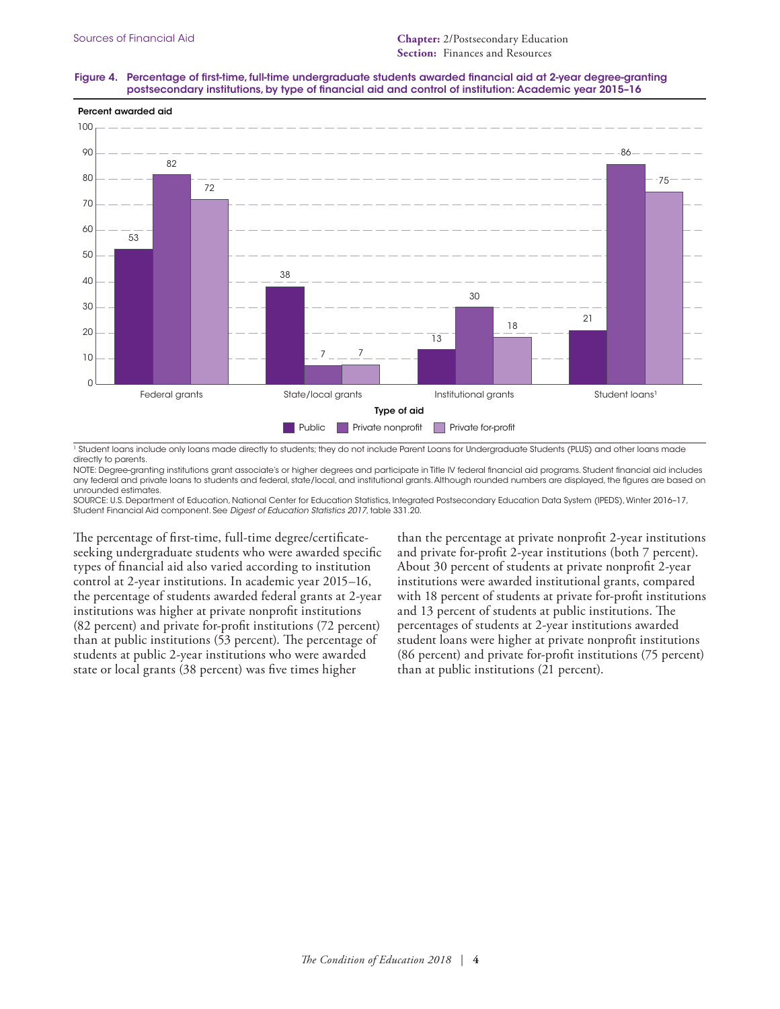## Figure 4. Percentage of first-time, full-time undergraduate students awarded financial aid at 2-year degree-granting postsecondary institutions, by type of financial aid and control of institution: Academic year 2015–16



1 Student loans include only loans made directly to students; they do not include Parent Loans for Undergraduate Students (PLUS) and other loans made directly to parents.

NOTE: Degree-granting institutions grant associate's or higher degrees and participate in Title IV federal financial aid programs. Student financial aid includes any federal and private loans to students and federal, state/local, and institutional grants. Although rounded numbers are displayed, the figures are based on unrounded estimates.

SOURCE: U.S. Department of Education, National Center for Education Statistics, Integrated Postsecondary Education Data System (IPEDS), Winter 2016–17, Student Financial Aid component. See *Digest of Education Statistics 2017*, table 331.20.

The percentage of first-time, full-time degree/certificateseeking undergraduate students who were awarded specific types of financial aid also varied according to institution control at 2-year institutions. In academic year 2015–16, the percentage of students awarded federal grants at 2-year institutions was higher at private nonprofit institutions (82 percent) and private for-profit institutions (72 percent) than at public institutions (53 percent). The percentage of students at public 2-year institutions who were awarded state or local grants (38 percent) was five times higher

than the percentage at private nonprofit 2-year institutions and private for-profit 2-year institutions (both 7 percent). About 30 percent of students at private nonprofit 2-year institutions were awarded institutional grants, compared with 18 percent of students at private for-profit institutions and 13 percent of students at public institutions. The percentages of students at 2-year institutions awarded student loans were higher at private nonprofit institutions (86 percent) and private for-profit institutions (75 percent) than at public institutions (21 percent).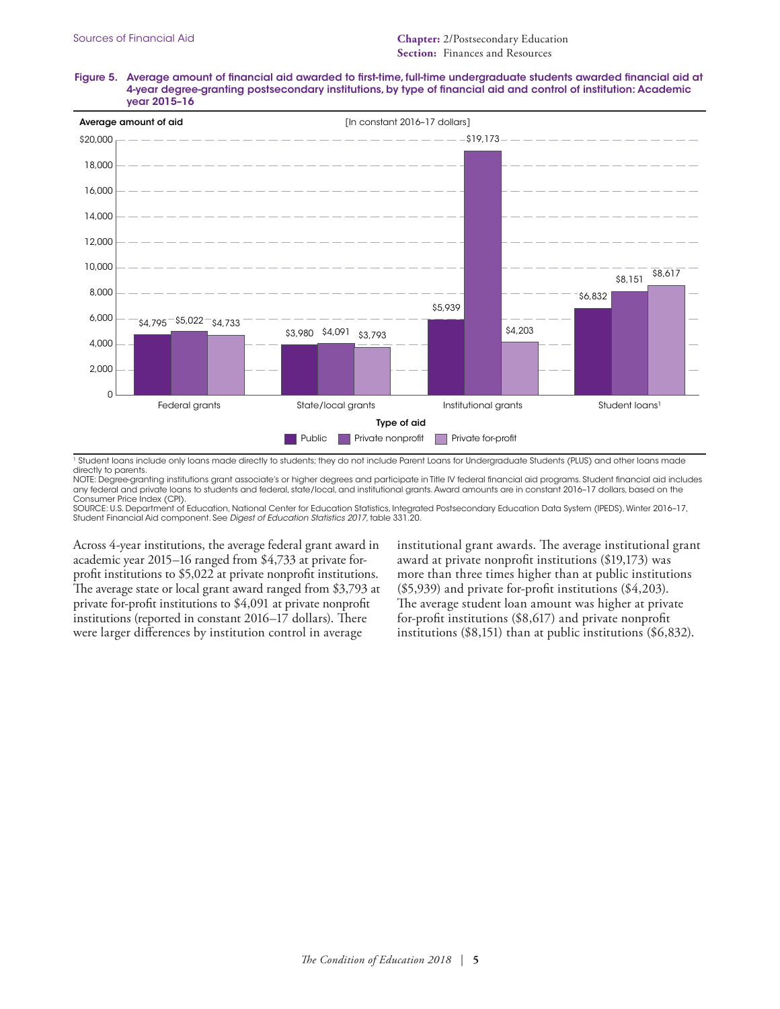#### Figure 5. Average amount of financial aid awarded to first-time, full-time undergraduate students awarded financial aid at 4-year degree-granting postsecondary institutions, by type of financial aid and control of institution: Academic year 2015–16



<sup>1</sup> Student loans include only loans made directly to students; they do not include Parent Loans for Undergraduate Students (PLUS) and other loans made directly to parents.

NOTE: Degree-granting institutions grant associate's or higher degrees and participate in Title IV federal financial aid programs. Student financial aid includes any federal and private loans to students and federal, state/local, and institutional grants. Award amounts are in constant 2016–17 dollars, based on the Consumer Price Index (CPI).

SOURCE: U.S. Department of Education, National Center for Education Statistics, Integrated Postsecondary Education Data System (IPEDS), Winter 2016–17, Student Financial Aid component. See *Digest of Education Statistics 2017*, table 331.20.

Across 4-year institutions, the average federal grant award in academic year 2015–16 ranged from \$4,733 at private forprofit institutions to \$5,022 at private nonprofit institutions. The average state or local grant award ranged from \$3,793 at private for-profit institutions to \$4,091 at private nonprofit institutions (reported in constant 2016–17 dollars). There were larger differences by institution control in average

institutional grant awards. The average institutional grant award at private nonprofit institutions (\$19,173) was more than three times higher than at public institutions (\$5,939) and private for-profit institutions (\$4,203). The average student loan amount was higher at private for-profit institutions (\$8,617) and private nonprofit institutions (\$8,151) than at public institutions (\$6,832).